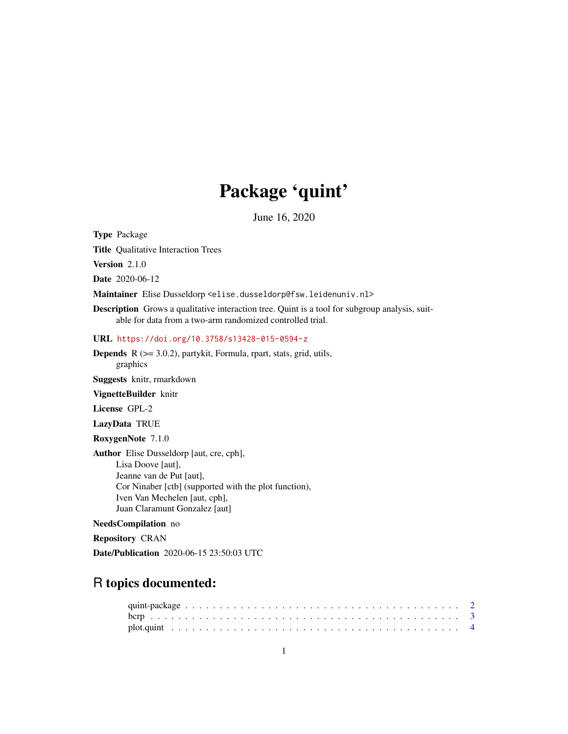# Package 'quint'

June 16, 2020

Type Package

Title Qualitative Interaction Trees

Version 2.1.0

Date 2020-06-12

Maintainer Elise Dusseldorp <elise.dusseldorp@fsw.leidenuniv.nl>

Description Grows a qualitative interaction tree. Quint is a tool for subgroup analysis, suitable for data from a two-arm randomized controlled trial.

URL <https://doi.org/10.3758/s13428-015-0594-z>

Depends R (>= 3.0.2), partykit, Formula, rpart, stats, grid, utils, graphics

Suggests knitr, rmarkdown

VignetteBuilder knitr

License GPL-2

LazyData TRUE

RoxygenNote 7.1.0

Author Elise Dusseldorp [aut, cre, cph], Lisa Doove [aut], Jeanne van de Put [aut], Cor Ninaber [ctb] (supported with the plot function), Iven Van Mechelen [aut, cph], Juan Claramunt Gonzalez [aut]

#### NeedsCompilation no

Repository CRAN

Date/Publication 2020-06-15 23:50:03 UTC

# R topics documented: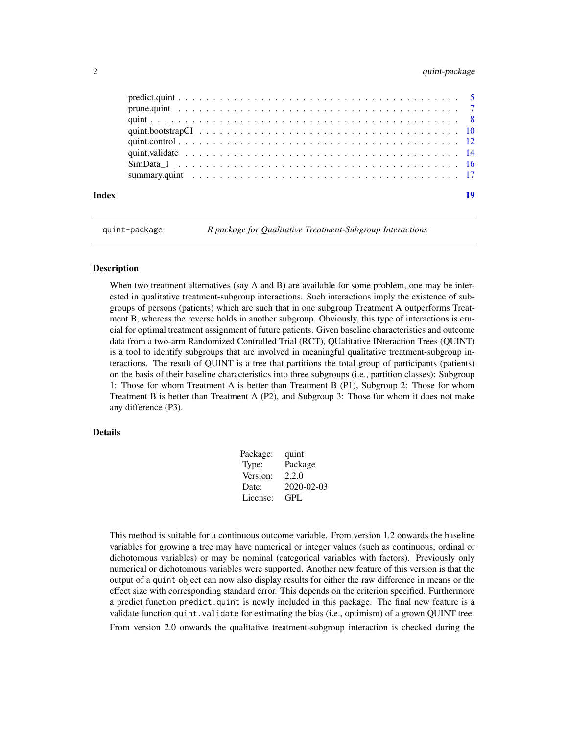# <span id="page-1-0"></span>2 quint-package  $\alpha$  quint-package

| Index | 19 |
|-------|----|

quint-package *R package for Qualitative Treatment-Subgroup Interactions*

# Description

When two treatment alternatives (say A and B) are available for some problem, one may be interested in qualitative treatment-subgroup interactions. Such interactions imply the existence of subgroups of persons (patients) which are such that in one subgroup Treatment A outperforms Treatment B, whereas the reverse holds in another subgroup. Obviously, this type of interactions is crucial for optimal treatment assignment of future patients. Given baseline characteristics and outcome data from a two-arm Randomized Controlled Trial (RCT), QUalitative INteraction Trees (QUINT) is a tool to identify subgroups that are involved in meaningful qualitative treatment-subgroup interactions. The result of QUINT is a tree that partitions the total group of participants (patients) on the basis of their baseline characteristics into three subgroups (i.e., partition classes): Subgroup 1: Those for whom Treatment A is better than Treatment B (P1), Subgroup 2: Those for whom Treatment B is better than Treatment A (P2), and Subgroup 3: Those for whom it does not make any difference (P3).

#### Details

| Package: | quint      |
|----------|------------|
| Type:    | Package    |
| Version: | 2.2.0      |
| Date:    | 2020-02-03 |
| License: | GPL        |
|          |            |

This method is suitable for a continuous outcome variable. From version 1.2 onwards the baseline variables for growing a tree may have numerical or integer values (such as continuous, ordinal or dichotomous variables) or may be nominal (categorical variables with factors). Previously only numerical or dichotomous variables were supported. Another new feature of this version is that the output of a quint object can now also display results for either the raw difference in means or the effect size with corresponding standard error. This depends on the criterion specified. Furthermore a predict function predict.quint is newly included in this package. The final new feature is a validate function quint.validate for estimating the bias (i.e., optimism) of a grown QUINT tree. From version 2.0 onwards the qualitative treatment-subgroup interaction is checked during the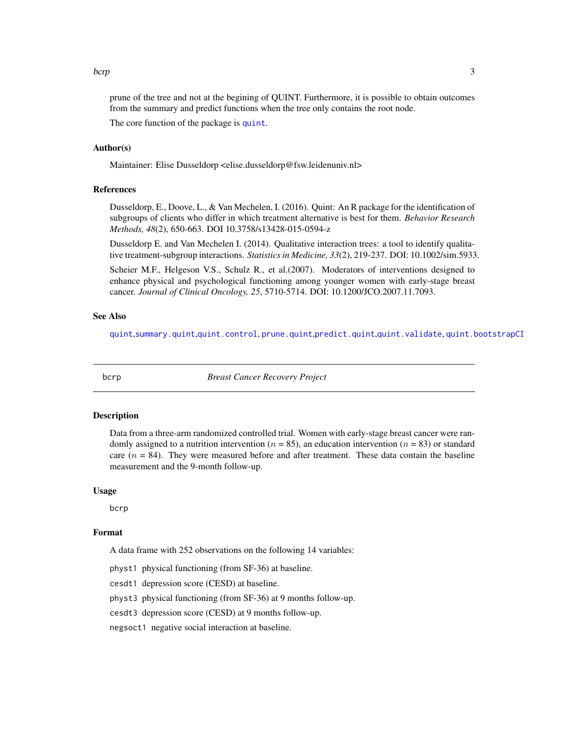#### <span id="page-2-0"></span>bcrp 3

prune of the tree and not at the begining of QUINT. Furthermore, it is possible to obtain outcomes from the summary and predict functions when the tree only contains the root node.

The core function of the package is [quint](#page-7-1).

# Author(s)

Maintainer: Elise Dusseldorp <elise.dusseldorp@fsw.leidenuniv.nl>

#### References

Dusseldorp, E., Doove, L., & Van Mechelen, I. (2016). Quint: An R package for the identification of subgroups of clients who differ in which treatment alternative is best for them. *Behavior Research Methods, 48*(2), 650-663. DOI 10.3758/s13428-015-0594-z

Dusseldorp E. and Van Mechelen I. (2014). Qualitative interaction trees: a tool to identify qualitative treatment-subgroup interactions. *Statistics in Medicine, 33*(2), 219-237. DOI: 10.1002/sim.5933.

Scheier M.F., Helgeson V.S., Schulz R., et al.(2007). Moderators of interventions designed to enhance physical and psychological functioning among younger women with early-stage breast cancer. *Journal of Clinical Oncology, 25*, 5710-5714. DOI: 10.1200/JCO.2007.11.7093.

#### See Also

[quint](#page-7-1),[summary.quint](#page-16-1),[quint.control](#page-11-1), [prune.quint](#page-6-1),[predict.quint](#page-4-1),[quint.validate](#page-13-1), [quint.bootstrapCI](#page-9-1)

<span id="page-2-1"></span>

bcrp *Breast Cancer Recovery Project*

#### Description

Data from a three-arm randomized controlled trial. Women with early-stage breast cancer were randomly assigned to a nutrition intervention ( $n = 85$ ), an education intervention ( $n = 83$ ) or standard care  $(n = 84)$ . They were measured before and after treatment. These data contain the baseline measurement and the 9-month follow-up.

#### Usage

bcrp

#### Format

A data frame with 252 observations on the following 14 variables:

physt1 physical functioning (from SF-36) at baseline.

cesdt1 depression score (CESD) at baseline.

physt3 physical functioning (from SF-36) at 9 months follow-up.

cesdt3 depression score (CESD) at 9 months follow-up.

negsoct1 negative social interaction at baseline.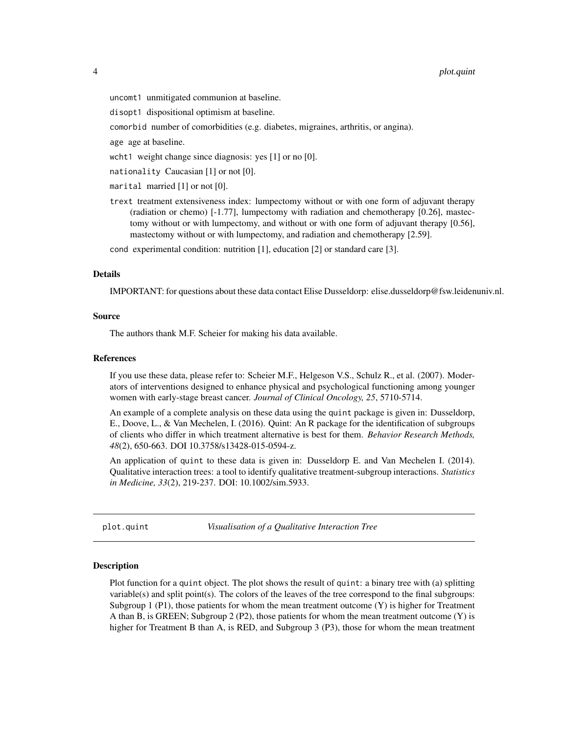<span id="page-3-0"></span>uncomt1 unmitigated communion at baseline.

- disopt1 dispositional optimism at baseline.
- comorbid number of comorbidities (e.g. diabetes, migraines, arthritis, or angina).

age age at baseline.

wcht1 weight change since diagnosis: yes [1] or no [0].

nationality Caucasian [1] or not [0].

marital married [1] or not [0].

trext treatment extensiveness index: lumpectomy without or with one form of adjuvant therapy (radiation or chemo) [-1.77], lumpectomy with radiation and chemotherapy [0.26], mastectomy without or with lumpectomy, and without or with one form of adjuvant therapy [0.56], mastectomy without or with lumpectomy, and radiation and chemotherapy [2.59].

cond experimental condition: nutrition [1], education [2] or standard care [3].

#### Details

IMPORTANT: for questions about these data contact Elise Dusseldorp: elise.dusseldorp@fsw.leidenuniv.nl.

#### Source

The authors thank M.F. Scheier for making his data available.

#### References

If you use these data, please refer to: Scheier M.F., Helgeson V.S., Schulz R., et al. (2007). Moderators of interventions designed to enhance physical and psychological functioning among younger women with early-stage breast cancer. *Journal of Clinical Oncology, 25*, 5710-5714.

An example of a complete analysis on these data using the quint package is given in: Dusseldorp, E., Doove, L., & Van Mechelen, I. (2016). Quint: An R package for the identification of subgroups of clients who differ in which treatment alternative is best for them. *Behavior Research Methods, 48*(2), 650-663. DOI 10.3758/s13428-015-0594-z.

An application of quint to these data is given in: Dusseldorp E. and Van Mechelen I. (2014). Qualitative interaction trees: a tool to identify qualitative treatment-subgroup interactions. *Statistics in Medicine, 33*(2), 219-237. DOI: 10.1002/sim.5933.

plot.quint *Visualisation of a Qualitative Interaction Tree*

#### Description

Plot function for a quint object. The plot shows the result of quint: a binary tree with (a) splitting variable(s) and split point(s). The colors of the leaves of the tree correspond to the final subgroups: Subgroup 1 (P1), those patients for whom the mean treatment outcome  $(Y)$  is higher for Treatment A than B, is GREEN; Subgroup  $2$  (P2), those patients for whom the mean treatment outcome  $(Y)$  is higher for Treatment B than A, is RED, and Subgroup 3 (P3), those for whom the mean treatment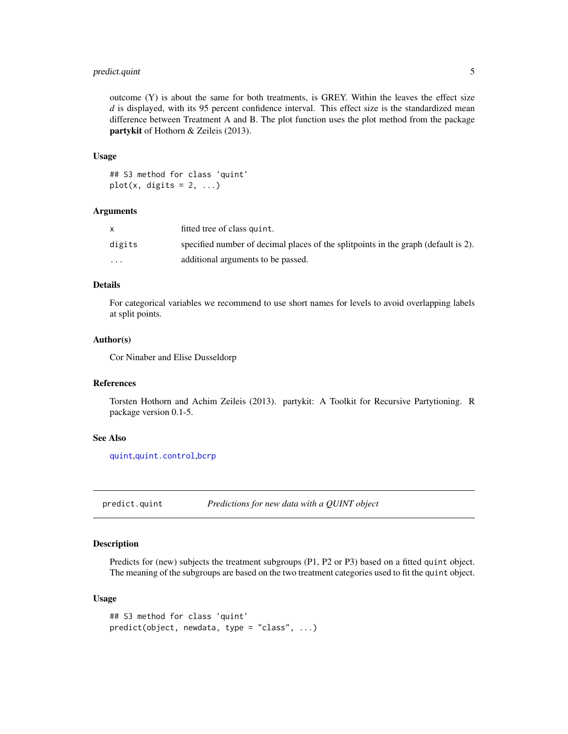# <span id="page-4-0"></span>predict.quint 5

outcome  $(Y)$  is about the same for both treatments, is GREY. Within the leaves the effect size *d* is displayed, with its 95 percent confidence interval. This effect size is the standardized mean difference between Treatment A and B. The plot function uses the plot method from the package partykit of Hothorn & Zeileis (2013).

#### Usage

```
## S3 method for class 'quint'
plot(x, digits = 2, ...)
```
#### Arguments

|          | fitted tree of class quint.                                                         |
|----------|-------------------------------------------------------------------------------------|
| digits   | specified number of decimal places of the split points in the graph (default is 2). |
| $\cdots$ | additional arguments to be passed.                                                  |

# Details

For categorical variables we recommend to use short names for levels to avoid overlapping labels at split points.

#### Author(s)

Cor Ninaber and Elise Dusseldorp

#### References

Torsten Hothorn and Achim Zeileis (2013). partykit: A Toolkit for Recursive Partytioning. R package version 0.1-5.

# See Also

[quint](#page-7-1),[quint.control](#page-11-1),[bcrp](#page-2-1)

<span id="page-4-1"></span>predict.quint *Predictions for new data with a QUINT object*

#### Description

Predicts for (new) subjects the treatment subgroups (P1, P2 or P3) based on a fitted quint object. The meaning of the subgroups are based on the two treatment categories used to fit the quint object.

#### Usage

```
## S3 method for class 'quint'
predict(object, newdata, type = "class", ...)
```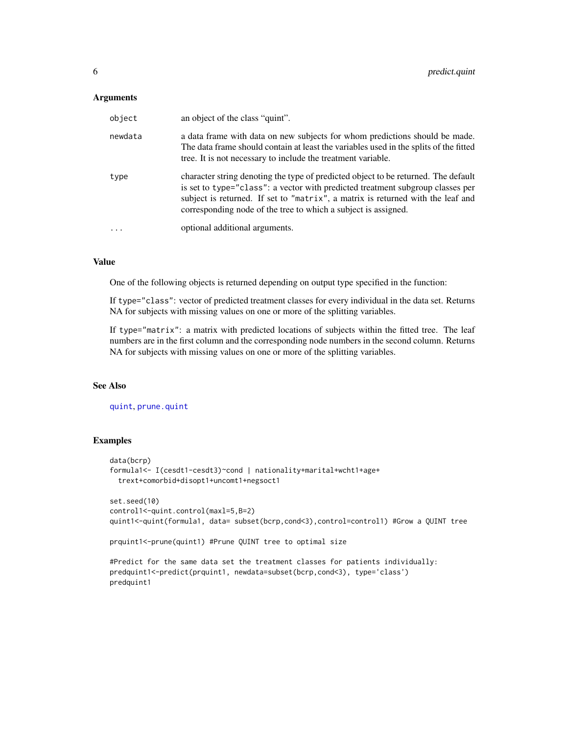#### <span id="page-5-0"></span>**Arguments**

| object  | an object of the class "quint".                                                                                                                                                                                                                                                                                           |
|---------|---------------------------------------------------------------------------------------------------------------------------------------------------------------------------------------------------------------------------------------------------------------------------------------------------------------------------|
| newdata | a data frame with data on new subjects for whom predictions should be made.<br>The data frame should contain at least the variables used in the splits of the fitted<br>tree. It is not necessary to include the treatment variable.                                                                                      |
| type    | character string denoting the type of predicted object to be returned. The default<br>is set to type="class": a vector with predicted treatment subgroup classes per<br>subject is returned. If set to "matrix", a matrix is returned with the leaf and<br>corresponding node of the tree to which a subject is assigned. |
| $\cdot$ | optional additional arguments.                                                                                                                                                                                                                                                                                            |

# Value

One of the following objects is returned depending on output type specified in the function:

If type="class": vector of predicted treatment classes for every individual in the data set. Returns NA for subjects with missing values on one or more of the splitting variables.

If type="matrix": a matrix with predicted locations of subjects within the fitted tree. The leaf numbers are in the first column and the corresponding node numbers in the second column. Returns NA for subjects with missing values on one or more of the splitting variables.

# See Also

[quint](#page-7-1), [prune.quint](#page-6-1)

#### Examples

```
data(bcrp)
formula1<- I(cesdt1-cesdt3)~cond | nationality+marital+wcht1+age+
 trext+comorbid+disopt1+uncomt1+negsoct1
set.seed(10)
control1<-quint.control(maxl=5,B=2)
quint1<-quint(formula1, data= subset(bcrp,cond<3),control=control1) #Grow a QUINT tree
prquint1<-prune(quint1) #Prune QUINT tree to optimal size
```
#Predict for the same data set the treatment classes for patients individually: predquint1<-predict(prquint1, newdata=subset(bcrp,cond<3), type='class') predquint1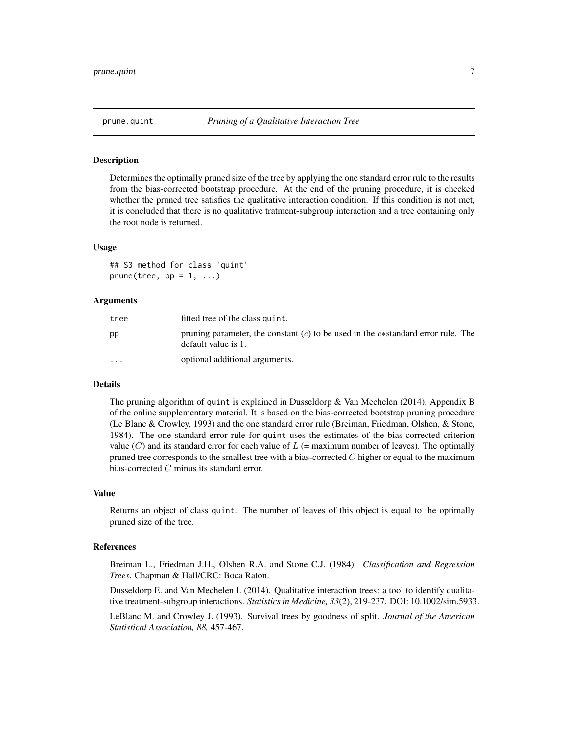<span id="page-6-1"></span><span id="page-6-0"></span>

#### Description

Determines the optimally pruned size of the tree by applying the one standard error rule to the results from the bias-corrected bootstrap procedure. At the end of the pruning procedure, it is checked whether the pruned tree satisfies the qualitative interaction condition. If this condition is not met, it is concluded that there is no qualitative tratment-subgroup interaction and a tree containing only the root node is returned.

#### Usage

```
## S3 method for class 'quint'
prune(tree, pp = 1, ...)
```
#### Arguments

| tree    | fitted tree of the class quint.                                                                         |
|---------|---------------------------------------------------------------------------------------------------------|
| pp      | pruning parameter, the constant (c) to be used in the c*standard error rule. The<br>default value is 1. |
| $\cdot$ | optional additional arguments.                                                                          |

#### Details

The pruning algorithm of quint is explained in Dusseldorp & Van Mechelen (2014), Appendix B of the online supplementary material. It is based on the bias-corrected bootstrap pruning procedure (Le Blanc & Crowley, 1993) and the one standard error rule (Breiman, Friedman, Olshen, & Stone, 1984). The one standard error rule for quint uses the estimates of the bias-corrected criterion value  $(C)$  and its standard error for each value of  $L$  (= maximum number of leaves). The optimally pruned tree corresponds to the smallest tree with a bias-corrected  $C$  higher or equal to the maximum bias-corrected C minus its standard error.

#### Value

Returns an object of class quint. The number of leaves of this object is equal to the optimally pruned size of the tree.

#### References

Breiman L., Friedman J.H., Olshen R.A. and Stone C.J. (1984). *Classification and Regression Trees*. Chapman & Hall/CRC: Boca Raton.

Dusseldorp E. and Van Mechelen I. (2014). Qualitative interaction trees: a tool to identify qualitative treatment-subgroup interactions. *Statistics in Medicine, 33*(2), 219-237. DOI: 10.1002/sim.5933.

LeBlanc M. and Crowley J. (1993). Survival trees by goodness of split. *Journal of the American Statistical Association, 88,* 457-467.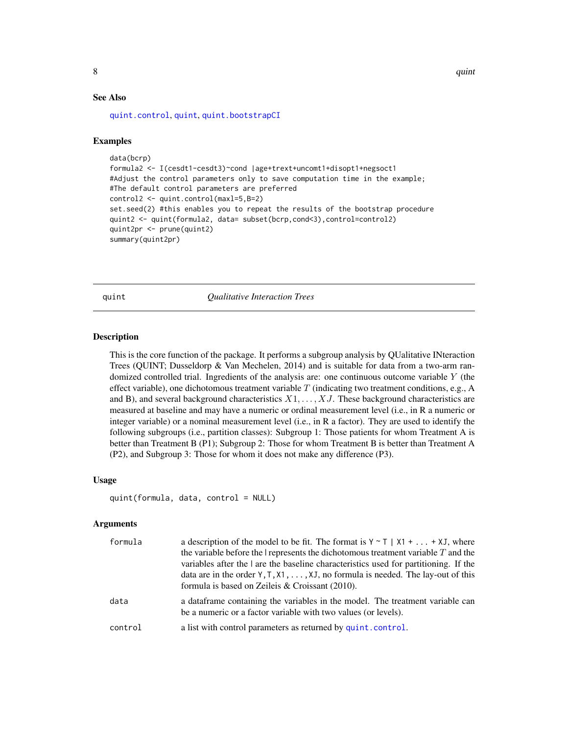#### <span id="page-7-0"></span>See Also

[quint.control](#page-11-1), [quint](#page-7-1), [quint.bootstrapCI](#page-9-1)

#### Examples

```
data(bcrp)
formula2 <- I(cesdt1-cesdt3)~cond |age+trext+uncomt1+disopt1+negsoct1
#Adjust the control parameters only to save computation time in the example;
#The default control parameters are preferred
control2 <- quint.control(maxl=5,B=2)
set.seed(2) #this enables you to repeat the results of the bootstrap procedure
quint2 <- quint(formula2, data= subset(bcrp,cond<3),control=control2)
quint2pr <- prune(quint2)
summary(quint2pr)
```
<span id="page-7-1"></span>quint *Qualitative Interaction Trees*

#### Description

This is the core function of the package. It performs a subgroup analysis by QUalitative INteraction Trees (QUINT; Dusseldorp & Van Mechelen, 2014) and is suitable for data from a two-arm randomized controlled trial. Ingredients of the analysis are: one continuous outcome variable  $Y$  (the effect variable), one dichotomous treatment variable  $T$  (indicating two treatment conditions, e.g., A and B), and several background characteristics  $X1, \ldots, XJ$ . These background characteristics are measured at baseline and may have a numeric or ordinal measurement level (i.e., in R a numeric or integer variable) or a nominal measurement level (i.e., in R a factor). They are used to identify the following subgroups (i.e., partition classes): Subgroup 1: Those patients for whom Treatment A is better than Treatment B (P1); Subgroup 2: Those for whom Treatment B is better than Treatment A (P2), and Subgroup 3: Those for whom it does not make any difference (P3).

#### Usage

```
quint(formula, data, control = NULL)
```
#### Arguments

| formula | a description of the model to be fit. The format is $Y \sim T$   $X1 +  + XJ$ , where                                                            |
|---------|--------------------------------------------------------------------------------------------------------------------------------------------------|
|         | the variable before the $\vert$ represents the dichotomous treatment variable $T$ and the                                                        |
|         | variables after the $\vert$ are the baseline characteristics used for partitioning. If the                                                       |
|         | data are in the order $Y, T, X1, \ldots, XJ$ , no formula is needed. The lay-out of this                                                         |
|         | formula is based on Zeileis & Croissant (2010).                                                                                                  |
| data    | a data frame containing the variables in the model. The treatment variable can<br>be a numeric or a factor variable with two values (or levels). |
| control | a list with control parameters as returned by quint.control.                                                                                     |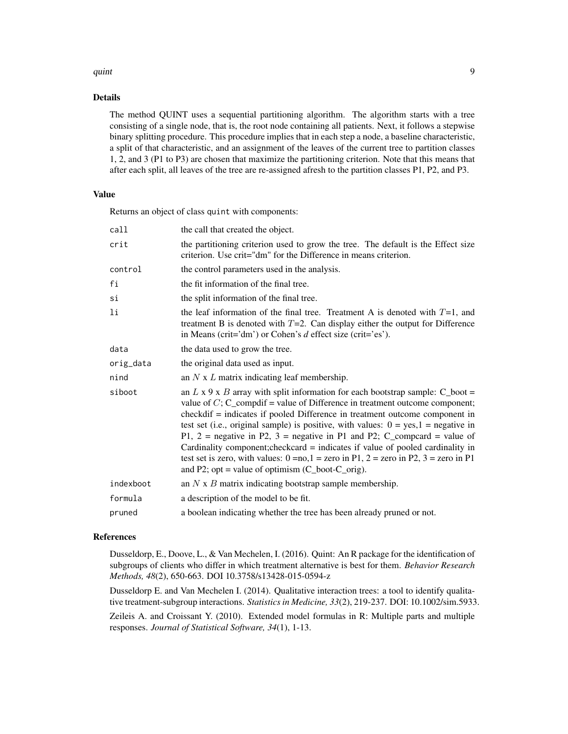#### quint the contract of the contract of the contract of the contract of the contract of the contract of the contract of the contract of the contract of the contract of the contract of the contract of the contract of the cont

#### Details

The method QUINT uses a sequential partitioning algorithm. The algorithm starts with a tree consisting of a single node, that is, the root node containing all patients. Next, it follows a stepwise binary splitting procedure. This procedure implies that in each step a node, a baseline characteristic, a split of that characteristic, and an assignment of the leaves of the current tree to partition classes 1, 2, and 3 (P1 to P3) are chosen that maximize the partitioning criterion. Note that this means that after each split, all leaves of the tree are re-assigned afresh to the partition classes P1, P2, and P3.

# Value

Returns an object of class quint with components:

| call      | the call that created the object.                                                                                                                                                                                                                                                                                                                                                                                                                                                                                                                                                                                                                                                        |
|-----------|------------------------------------------------------------------------------------------------------------------------------------------------------------------------------------------------------------------------------------------------------------------------------------------------------------------------------------------------------------------------------------------------------------------------------------------------------------------------------------------------------------------------------------------------------------------------------------------------------------------------------------------------------------------------------------------|
| crit      | the partitioning criterion used to grow the tree. The default is the Effect size<br>criterion. Use crit="dm" for the Difference in means criterion.                                                                                                                                                                                                                                                                                                                                                                                                                                                                                                                                      |
| control   | the control parameters used in the analysis.                                                                                                                                                                                                                                                                                                                                                                                                                                                                                                                                                                                                                                             |
| fi        | the fit information of the final tree.                                                                                                                                                                                                                                                                                                                                                                                                                                                                                                                                                                                                                                                   |
| si        | the split information of the final tree.                                                                                                                                                                                                                                                                                                                                                                                                                                                                                                                                                                                                                                                 |
| li        | the leaf information of the final tree. Treatment A is denoted with $T=1$ , and<br>treatment B is denoted with $T=2$ . Can display either the output for Difference<br>in Means (crit='dm') or Cohen's $d$ effect size (crit='es').                                                                                                                                                                                                                                                                                                                                                                                                                                                      |
| data      | the data used to grow the tree.                                                                                                                                                                                                                                                                                                                                                                                                                                                                                                                                                                                                                                                          |
| orig_data | the original data used as input.                                                                                                                                                                                                                                                                                                                                                                                                                                                                                                                                                                                                                                                         |
| nind      | an $N \times L$ matrix indicating leaf membership.                                                                                                                                                                                                                                                                                                                                                                                                                                                                                                                                                                                                                                       |
| siboot    | an L x 9 x B array with split information for each bootstrap sample: $C_{\text{}$ boot =<br>value of $C$ ; C_compdif = value of Difference in treatment outcome component;<br>checkdif = indicates if pooled Difference in treatment outcome component in<br>test set (i.e., original sample) is positive, with values: $0 = yes, 1 = negative$ in<br>P1, 2 = negative in P2, 3 = negative in P1 and P2; C_compcard = value of<br>Cardinality component; checkcard = indicates if value of pooled cardinality in<br>test set is zero, with values: $0 = no, 1 = zero$ in P1, $2 = zero$ in P2, $3 = zero$ in P1<br>and P2; opt = value of optimism $(C_{\text{root}}-C_{\text{orig}})$ . |
| indexboot | an $N \times B$ matrix indicating bootstrap sample membership.                                                                                                                                                                                                                                                                                                                                                                                                                                                                                                                                                                                                                           |
| formula   | a description of the model to be fit.                                                                                                                                                                                                                                                                                                                                                                                                                                                                                                                                                                                                                                                    |
| pruned    | a boolean indicating whether the tree has been already pruned or not.                                                                                                                                                                                                                                                                                                                                                                                                                                                                                                                                                                                                                    |
|           |                                                                                                                                                                                                                                                                                                                                                                                                                                                                                                                                                                                                                                                                                          |

# References

Dusseldorp, E., Doove, L., & Van Mechelen, I. (2016). Quint: An R package for the identification of subgroups of clients who differ in which treatment alternative is best for them. *Behavior Research Methods, 48*(2), 650-663. DOI 10.3758/s13428-015-0594-z

Dusseldorp E. and Van Mechelen I. (2014). Qualitative interaction trees: a tool to identify qualitative treatment-subgroup interactions. *Statistics in Medicine, 33*(2), 219-237. DOI: 10.1002/sim.5933.

Zeileis A. and Croissant Y. (2010). Extended model formulas in R: Multiple parts and multiple responses. *Journal of Statistical Software, 34*(1), 1-13.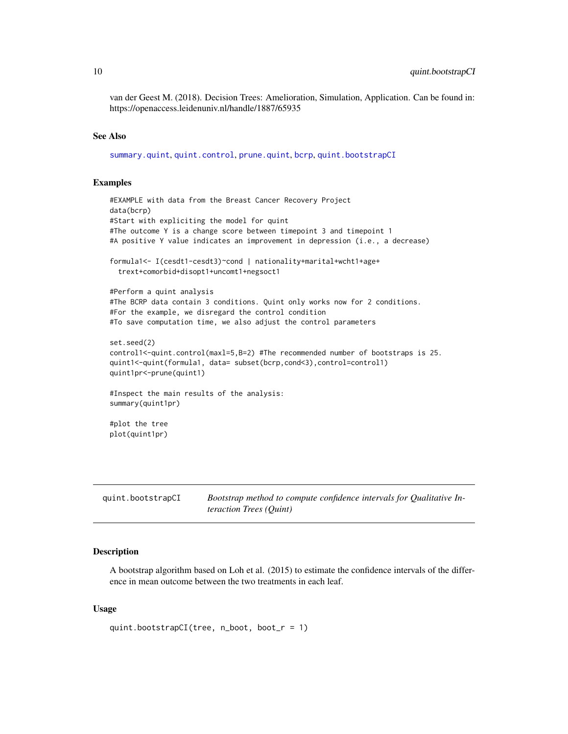<span id="page-9-0"></span>van der Geest M. (2018). Decision Trees: Amelioration, Simulation, Application. Can be found in: https://openaccess.leidenuniv.nl/handle/1887/65935

#### See Also

[summary.quint](#page-16-1), [quint.control](#page-11-1), [prune.quint](#page-6-1), [bcrp](#page-2-1), [quint.bootstrapCI](#page-9-1)

#### Examples

```
#EXAMPLE with data from the Breast Cancer Recovery Project
data(bcrp)
#Start with expliciting the model for quint
#The outcome Y is a change score between timepoint 3 and timepoint 1
#A positive Y value indicates an improvement in depression (i.e., a decrease)
formula1<- I(cesdt1-cesdt3)~cond | nationality+marital+wcht1+age+
 trext+comorbid+disopt1+uncomt1+negsoct1
#Perform a quint analysis
#The BCRP data contain 3 conditions. Quint only works now for 2 conditions.
#For the example, we disregard the control condition
#To save computation time, we also adjust the control parameters
set.seed(2)
control1<-quint.control(maxl=5,B=2) #The recommended number of bootstraps is 25.
quint1<-quint(formula1, data= subset(bcrp,cond<3),control=control1)
quint1pr<-prune(quint1)
#Inspect the main results of the analysis:
summary(quint1pr)
#plot the tree
plot(quint1pr)
```
<span id="page-9-1"></span>

| quint.bootstrapCI | Bootstrap method to compute confidence intervals for Qualitative In- |
|-------------------|----------------------------------------------------------------------|
|                   | <i>teraction Trees (Ouint)</i>                                       |

# **Description**

A bootstrap algorithm based on Loh et al. (2015) to estimate the confidence intervals of the difference in mean outcome between the two treatments in each leaf.

#### Usage

```
quint.bootstrapCI(tree, n_boot, boot_r = 1)
```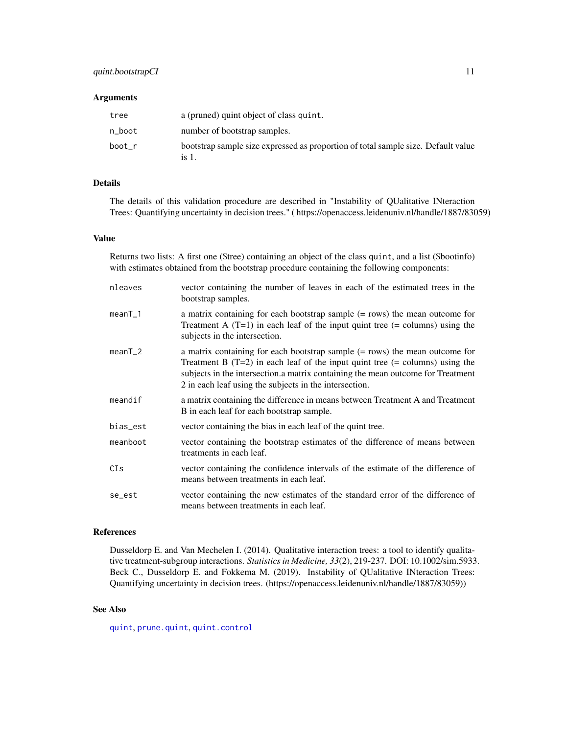# <span id="page-10-0"></span>quint.bootstrapCI 11

#### **Arguments**

| tree   | a (pruned) quint object of class quint.                                                    |
|--------|--------------------------------------------------------------------------------------------|
| n boot | number of bootstrap samples.                                                               |
| boot r | bootstrap sample size expressed as proportion of total sample size. Default value<br>is 1. |

# Details

The details of this validation procedure are described in "Instability of QUalitative INteraction Trees: Quantifying uncertainty in decision trees." ( https://openaccess.leidenuniv.nl/handle/1887/83059)

# Value

Returns two lists: A first one (\$tree) containing an object of the class quint, and a list (\$bootinfo) with estimates obtained from the bootstrap procedure containing the following components:

| nleaves   | vector containing the number of leaves in each of the estimated trees in the<br>bootstrap samples.                                                                                                                                                                                                             |
|-----------|----------------------------------------------------------------------------------------------------------------------------------------------------------------------------------------------------------------------------------------------------------------------------------------------------------------|
| $meanT_1$ | a matrix containing for each bootstrap sample $(=$ rows) the mean outcome for<br>Treatment A $(T=1)$ in each leaf of the input quint tree $(=$ columns) using the<br>subjects in the intersection.                                                                                                             |
| $meanT_2$ | a matrix containing for each bootstrap sample $(= rows)$ the mean outcome for<br>Treatment B $(T=2)$ in each leaf of the input quint tree $(=$ columns) using the<br>subjects in the intersection.a matrix containing the mean outcome for Treatment<br>2 in each leaf using the subjects in the intersection. |
| meandif   | a matrix containing the difference in means between Treatment A and Treatment<br>B in each leaf for each bootstrap sample.                                                                                                                                                                                     |
| bias_est  | vector containing the bias in each leaf of the quint tree.                                                                                                                                                                                                                                                     |
| meanboot  | vector containing the bootstrap estimates of the difference of means between<br>treatments in each leaf.                                                                                                                                                                                                       |
| CIs       | vector containing the confidence intervals of the estimate of the difference of<br>means between treatments in each leaf.                                                                                                                                                                                      |
| se_est    | vector containing the new estimates of the standard error of the difference of<br>means between treatments in each leaf.                                                                                                                                                                                       |

# References

Dusseldorp E. and Van Mechelen I. (2014). Qualitative interaction trees: a tool to identify qualitative treatment-subgroup interactions. *Statistics in Medicine, 33*(2), 219-237. DOI: 10.1002/sim.5933. Beck C., Dusseldorp E. and Fokkema M. (2019). Instability of QUalitative INteraction Trees: Quantifying uncertainty in decision trees. (https://openaccess.leidenuniv.nl/handle/1887/83059))

# See Also

[quint](#page-7-1), [prune.quint](#page-6-1), [quint.control](#page-11-1)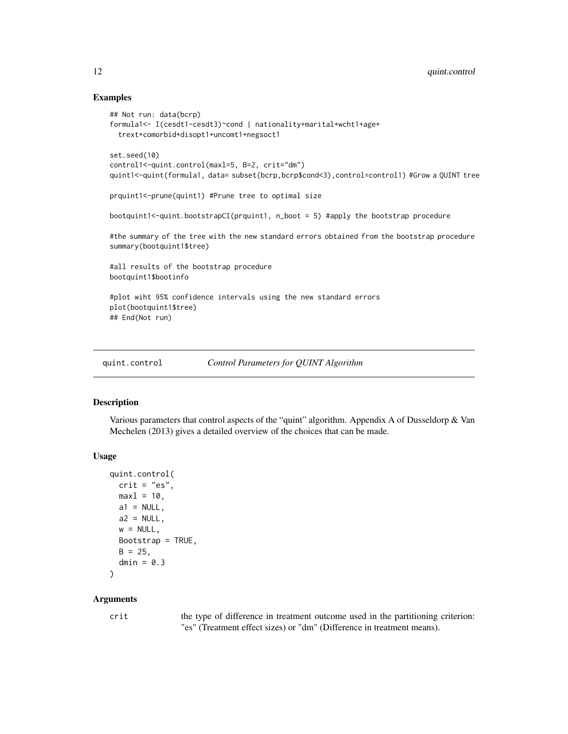# Examples

```
## Not run: data(bcrp)
formula1<- I(cesdt1-cesdt3)~cond | nationality+marital+wcht1+age+
 trext+comorbid+disopt1+uncomt1+negsoct1
set.seed(10)
control1<-quint.control(maxl=5, B=2, crit="dm")
quint1<-quint(formula1, data= subset(bcrp,bcrp$cond<3),control=control1) #Grow a QUINT tree
prquint1<-prune(quint1) #Prune tree to optimal size
bootquint1<-quint.bootstrapCI(prquint1, n_boot = 5) #apply the bootstrap procedure
#the summary of the tree with the new standard errors obtained from the bootstrap procedure
summary(bootquint1$tree)
#all results of the bootstrap procedure
bootquint1$bootinfo
#plot wiht 95% confidence intervals using the new standard errors
plot(bootquint1$tree)
## End(Not run)
```
<span id="page-11-1"></span>quint.control *Control Parameters for QUINT Algorithm*

# Description

Various parameters that control aspects of the "quint" algorithm. Appendix A of Dusseldorp  $\&$  Van Mechelen (2013) gives a detailed overview of the choices that can be made.

#### Usage

```
quint.control(
 crit = "es",max1 = 10,
 a1 = NULL,a2 = NULL,w = NULL,Bootstrap = TRUE,
 B = 25,
 dmin = 0.3)
```
# Arguments

crit the type of difference in treatment outcome used in the partitioning criterion: "es" (Treatment effect sizes) or "dm" (Difference in treatment means).

<span id="page-11-0"></span>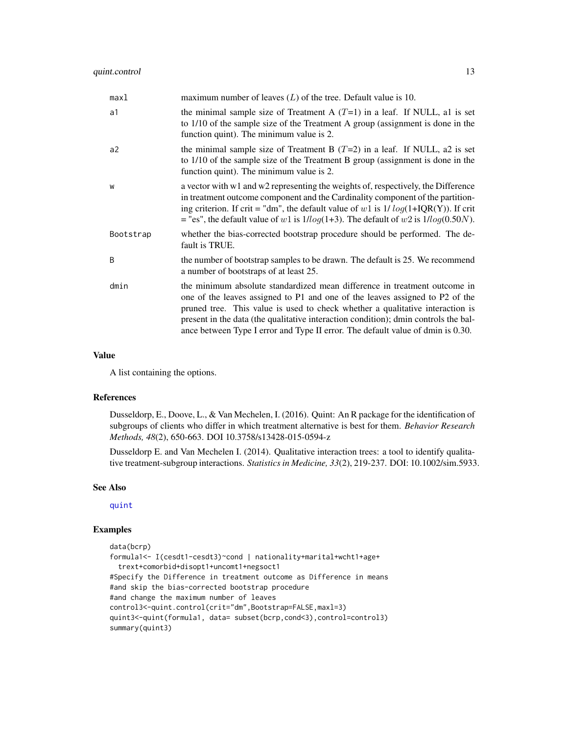<span id="page-12-0"></span>

| max1      | maximum number of leaves $(L)$ of the tree. Default value is 10.                                                                                                                                                                                                                                                                                                                                                     |
|-----------|----------------------------------------------------------------------------------------------------------------------------------------------------------------------------------------------------------------------------------------------------------------------------------------------------------------------------------------------------------------------------------------------------------------------|
| a1        | the minimal sample size of Treatment A $(T=1)$ in a leaf. If NULL, al is set<br>to 1/10 of the sample size of the Treatment A group (assignment is done in the<br>function quint). The minimum value is 2.                                                                                                                                                                                                           |
| a2        | the minimal sample size of Treatment B $(T=2)$ in a leaf. If NULL, a2 is set<br>to 1/10 of the sample size of the Treatment B group (assignment is done in the<br>function quint). The minimum value is 2.                                                                                                                                                                                                           |
| W         | a vector with w1 and w2 representing the weights of, respectively, the Difference<br>in treatment outcome component and the Cardinality component of the partition-<br>ing criterion. If crit = "dm", the default value of w1 is $1/\log(1+IQR(Y))$ . If crit<br>= "es", the default value of w1 is $1/log(1+3)$ . The default of w2 is $1/log(0.50N)$ .                                                             |
| Bootstrap | whether the bias-corrected bootstrap procedure should be performed. The de-<br>fault is TRUE.                                                                                                                                                                                                                                                                                                                        |
| B         | the number of bootstrap samples to be drawn. The default is 25. We recommend<br>a number of bootstraps of at least 25.                                                                                                                                                                                                                                                                                               |
| dmin      | the minimum absolute standardized mean difference in treatment outcome in<br>one of the leaves assigned to P1 and one of the leaves assigned to P2 of the<br>pruned tree. This value is used to check whether a qualitative interaction is<br>present in the data (the qualitative interaction condition); dmin controls the bal-<br>ance between Type I error and Type II error. The default value of dmin is 0.30. |

#### Value

A list containing the options.

#### References

Dusseldorp, E., Doove, L., & Van Mechelen, I. (2016). Quint: An R package for the identification of subgroups of clients who differ in which treatment alternative is best for them. *Behavior Research Methods, 48*(2), 650-663. DOI 10.3758/s13428-015-0594-z

Dusseldorp E. and Van Mechelen I. (2014). Qualitative interaction trees: a tool to identify qualitative treatment-subgroup interactions. *Statistics in Medicine, 33*(2), 219-237. DOI: 10.1002/sim.5933.

#### See Also

[quint](#page-7-1)

# Examples

```
data(bcrp)
formula1<- I(cesdt1-cesdt3)~cond | nationality+marital+wcht1+age+
 trext+comorbid+disopt1+uncomt1+negsoct1
#Specify the Difference in treatment outcome as Difference in means
#and skip the bias-corrected bootstrap procedure
#and change the maximum number of leaves
control3<-quint.control(crit="dm",Bootstrap=FALSE,maxl=3)
quint3<-quint(formula1, data= subset(bcrp,cond<3),control=control3)
summary(quint3)
```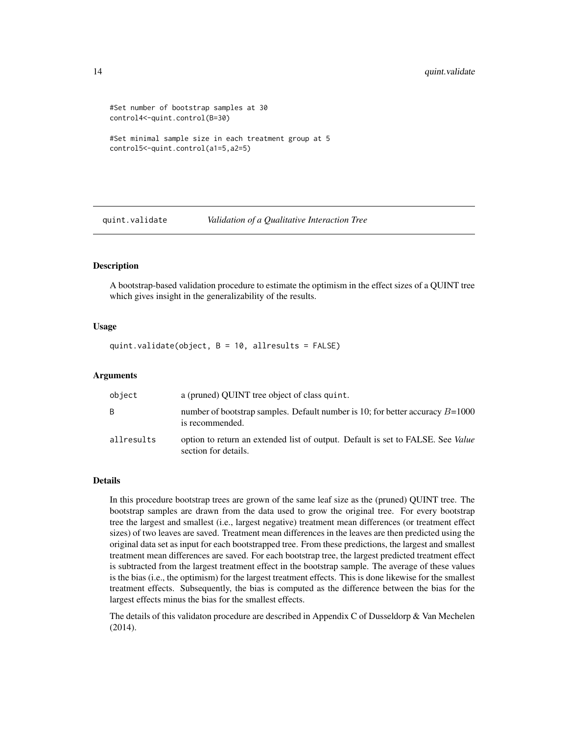```
#Set number of bootstrap samples at 30
control4<-quint.control(B=30)
```

```
#Set minimal sample size in each treatment group at 5
control5<-quint.control(a1=5,a2=5)
```
<span id="page-13-1"></span>quint.validate *Validation of a Qualitative Interaction Tree*

#### **Description**

A bootstrap-based validation procedure to estimate the optimism in the effect sizes of a QUINT tree which gives insight in the generalizability of the results.

#### Usage

quint.validate(object, B = 10, allresults = FALSE)

#### Arguments

| object     | a (pruned) OUINT tree object of class quint.                                                                   |
|------------|----------------------------------------------------------------------------------------------------------------|
| B.         | number of bootstrap samples. Default number is 10; for better accuracy $B=1000$<br>is recommended.             |
| allresults | option to return an extended list of output. Default is set to FALSE. See <i>Value</i><br>section for details. |

## Details

In this procedure bootstrap trees are grown of the same leaf size as the (pruned) QUINT tree. The bootstrap samples are drawn from the data used to grow the original tree. For every bootstrap tree the largest and smallest (i.e., largest negative) treatment mean differences (or treatment effect sizes) of two leaves are saved. Treatment mean differences in the leaves are then predicted using the original data set as input for each bootstrapped tree. From these predictions, the largest and smallest treatment mean differences are saved. For each bootstrap tree, the largest predicted treatment effect is subtracted from the largest treatment effect in the bootstrap sample. The average of these values is the bias (i.e., the optimism) for the largest treatment effects. This is done likewise for the smallest treatment effects. Subsequently, the bias is computed as the difference between the bias for the largest effects minus the bias for the smallest effects.

The details of this validaton procedure are described in Appendix C of Dusseldorp & Van Mechelen (2014).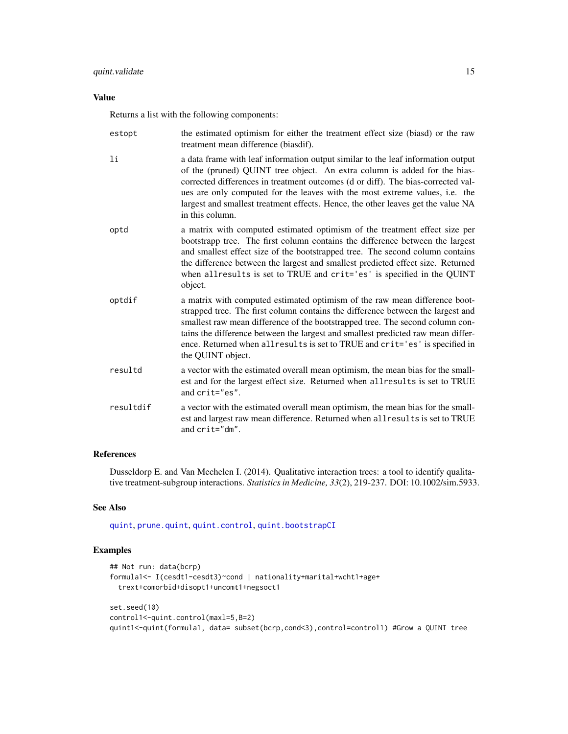# <span id="page-14-0"></span>Value

Returns a list with the following components:

| estopt    | the estimated optimism for either the treatment effect size (biasd) or the raw<br>treatment mean difference (biasdif).                                                                                                                                                                                                                                                                                                                  |
|-----------|-----------------------------------------------------------------------------------------------------------------------------------------------------------------------------------------------------------------------------------------------------------------------------------------------------------------------------------------------------------------------------------------------------------------------------------------|
| 1i        | a data frame with leaf information output similar to the leaf information output<br>of the (pruned) QUINT tree object. An extra column is added for the bias-<br>corrected differences in treatment outcomes (d or diff). The bias-corrected val-<br>ues are only computed for the leaves with the most extreme values, i.e. the<br>largest and smallest treatment effects. Hence, the other leaves get the value NA<br>in this column. |
| optd      | a matrix with computed estimated optimism of the treatment effect size per<br>bootstrapp tree. The first column contains the difference between the largest<br>and smallest effect size of the bootstrapped tree. The second column contains<br>the difference between the largest and smallest predicted effect size. Returned<br>when allresults is set to TRUE and crit='es' is specified in the QUINT<br>object.                    |
| optdif    | a matrix with computed estimated optimism of the raw mean difference boot-<br>strapped tree. The first column contains the difference between the largest and<br>smallest raw mean difference of the bootstrapped tree. The second column con-<br>tains the difference between the largest and smallest predicted raw mean differ-<br>ence. Returned when allresults is set to TRUE and crit='es' is specified in<br>the QUINT object.  |
| resultd   | a vector with the estimated overall mean optimism, the mean bias for the small-<br>est and for the largest effect size. Returned when allresults is set to TRUE<br>and crit="es".                                                                                                                                                                                                                                                       |
| resultdif | a vector with the estimated overall mean optimism, the mean bias for the small-<br>est and largest raw mean difference. Returned when all results is set to TRUE<br>and crit="dm".                                                                                                                                                                                                                                                      |

# References

Dusseldorp E. and Van Mechelen I. (2014). Qualitative interaction trees: a tool to identify qualitative treatment-subgroup interactions. *Statistics in Medicine, 33*(2), 219-237. DOI: 10.1002/sim.5933.

# See Also

[quint](#page-7-1), [prune.quint](#page-6-1), [quint.control](#page-11-1), [quint.bootstrapCI](#page-9-1)

# Examples

```
## Not run: data(bcrp)
formula1<- I(cesdt1-cesdt3)~cond | nationality+marital+wcht1+age+
 trext+comorbid+disopt1+uncomt1+negsoct1
set.seed(10)
control1<-quint.control(maxl=5,B=2)
quint1<-quint(formula1, data= subset(bcrp,cond<3),control=control1) #Grow a QUINT tree
```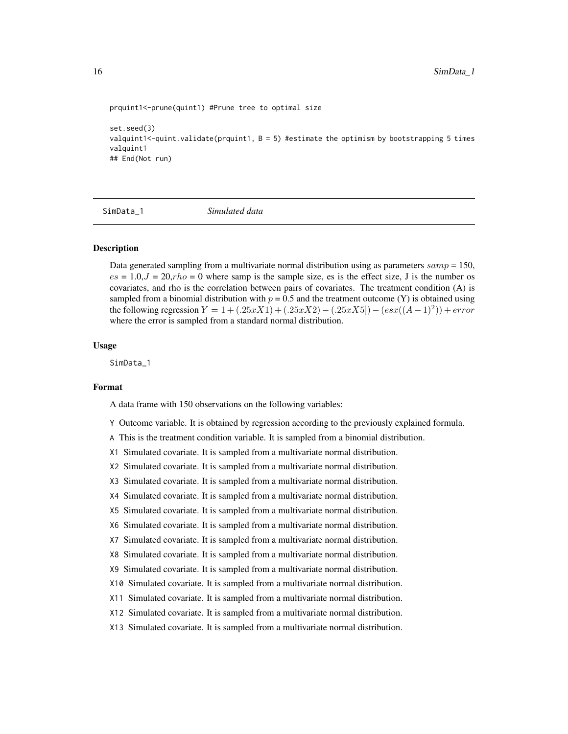```
prquint1<-prune(quint1) #Prune tree to optimal size
```

```
set.seed(3)
valquint1<-quint.validate(prquint1, B = 5) #estimate the optimism by bootstrapping 5 times
valquint1
## End(Not run)
```
SimData\_1 *Simulated data*

#### Description

Data generated sampling from a multivariate normal distribution using as parameters  $\text{same} = 150$ ,  $es = 1.0, J = 20, rho = 0$  where samp is the sample size, es is the effect size, J is the number os covariates, and rho is the correlation between pairs of covariates. The treatment condition (A) is sampled from a binomial distribution with  $p = 0.5$  and the treatment outcome (Y) is obtained using the following regression  $Y = 1 + (.25xX1) + (.25xX2) - (.25xX5]) - (esx((A-1)^{2})) + error$ where the error is sampled from a standard normal distribution.

#### Usage

SimData 1

#### Format

A data frame with 150 observations on the following variables:

- Y Outcome variable. It is obtained by regression according to the previously explained formula.
- A This is the treatment condition variable. It is sampled from a binomial distribution.
- X1 Simulated covariate. It is sampled from a multivariate normal distribution.
- X2 Simulated covariate. It is sampled from a multivariate normal distribution.
- X3 Simulated covariate. It is sampled from a multivariate normal distribution.
- X4 Simulated covariate. It is sampled from a multivariate normal distribution.
- X5 Simulated covariate. It is sampled from a multivariate normal distribution.
- X6 Simulated covariate. It is sampled from a multivariate normal distribution.
- X7 Simulated covariate. It is sampled from a multivariate normal distribution.
- X8 Simulated covariate. It is sampled from a multivariate normal distribution.
- X9 Simulated covariate. It is sampled from a multivariate normal distribution.
- X10 Simulated covariate. It is sampled from a multivariate normal distribution.
- X11 Simulated covariate. It is sampled from a multivariate normal distribution.
- X12 Simulated covariate. It is sampled from a multivariate normal distribution.
- X13 Simulated covariate. It is sampled from a multivariate normal distribution.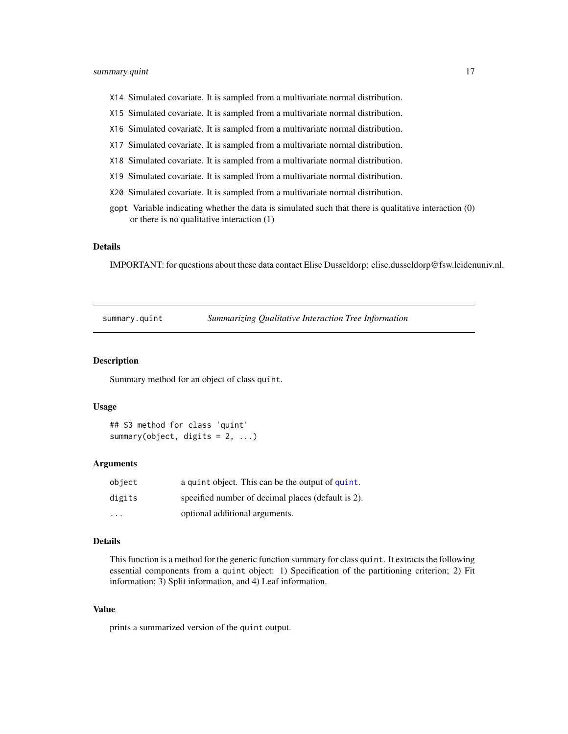- <span id="page-16-0"></span>X14 Simulated covariate. It is sampled from a multivariate normal distribution.
- X15 Simulated covariate. It is sampled from a multivariate normal distribution.
- X16 Simulated covariate. It is sampled from a multivariate normal distribution.
- X17 Simulated covariate. It is sampled from a multivariate normal distribution.
- X18 Simulated covariate. It is sampled from a multivariate normal distribution.
- X19 Simulated covariate. It is sampled from a multivariate normal distribution.
- X20 Simulated covariate. It is sampled from a multivariate normal distribution.
- gopt Variable indicating whether the data is simulated such that there is qualitative interaction (0) or there is no qualitative interaction (1)

#### Details

IMPORTANT: for questions about these data contact Elise Dusseldorp: elise.dusseldorp@fsw.leidenuniv.nl.

<span id="page-16-1"></span>summary.quint *Summarizing Qualitative Interaction Tree Information*

#### **Description**

Summary method for an object of class quint.

#### Usage

```
## S3 method for class 'quint'
summary(object, digits = 2, ...)
```
#### Arguments

| object                  | a quint object. This can be the output of quint.   |
|-------------------------|----------------------------------------------------|
| digits                  | specified number of decimal places (default is 2). |
| $\cdot$ $\cdot$ $\cdot$ | optional additional arguments.                     |

# Details

This function is a method for the generic function summary for class quint. It extracts the following essential components from a quint object: 1) Specification of the partitioning criterion; 2) Fit information; 3) Split information, and 4) Leaf information.

#### Value

prints a summarized version of the quint output.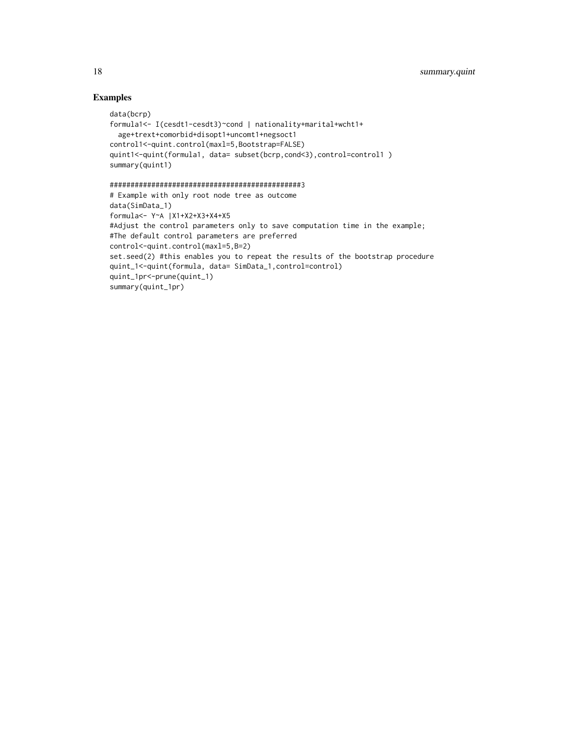# Examples

```
data(bcrp)
formula1<- I(cesdt1-cesdt3)~cond | nationality+marital+wcht1+
  age+trext+comorbid+disopt1+uncomt1+negsoct1
control1<-quint.control(maxl=5,Bootstrap=FALSE)
quint1<-quint(formula1, data= subset(bcrp,cond<3),control=control1 )
summary(quint1)
```
# ##############################################3

```
# Example with only root node tree as outcome
data(SimData_1)
formula<- Y~A |X1+X2+X3+X4+X5
#Adjust the control parameters only to save computation time in the example;
#The default control parameters are preferred
control<-quint.control(maxl=5,B=2)
set.seed(2) #this enables you to repeat the results of the bootstrap procedure
quint_1<-quint(formula, data= SimData_1,control=control)
quint_1pr<-prune(quint_1)
summary(quint_1pr)
```